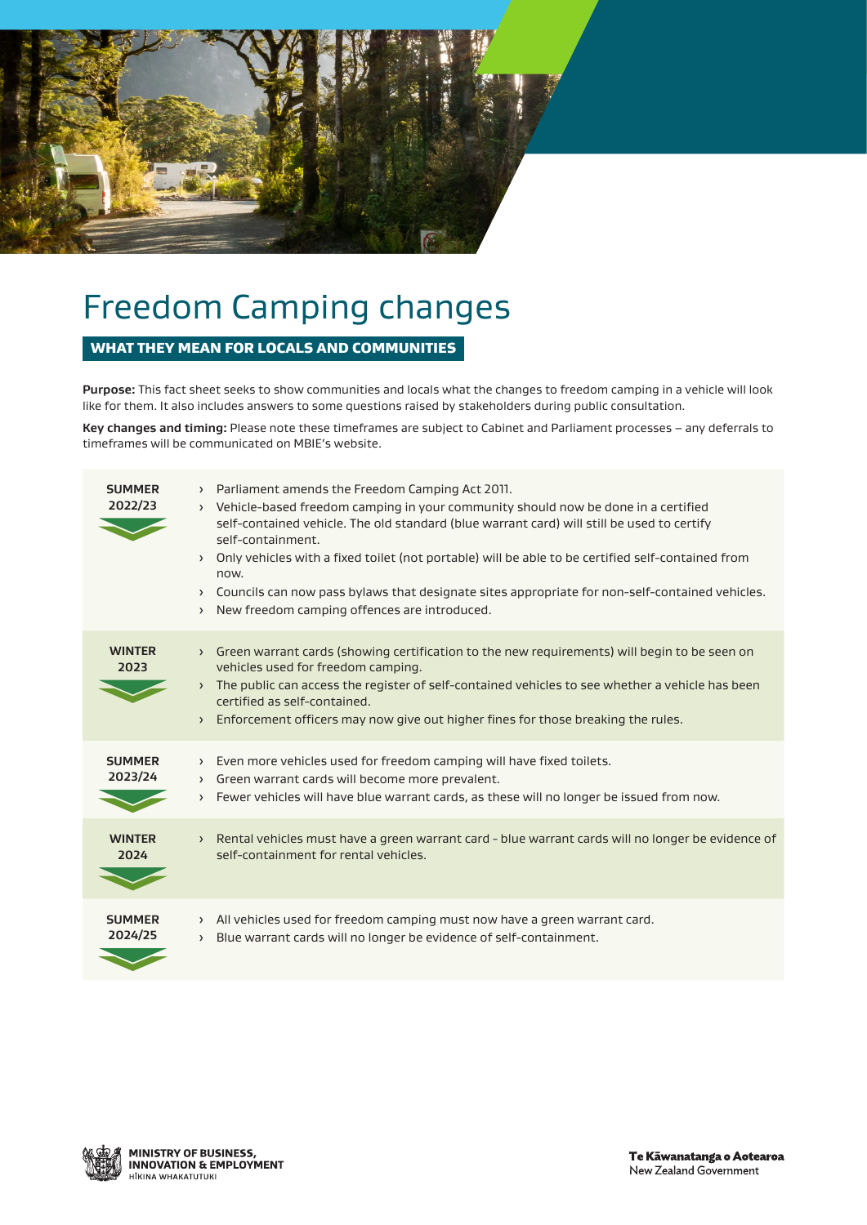

# Freedom Camping changes

# WHAT THEY MEAN FOR LOCALS AND COMMUNITIES

**Purpose:** This fact sheet seeks to show communities and locals what the changes to freedom camping in a vehicle will look like for them. It also includes answers to some questions raised by stakeholders during public consultation.

**Key changes and timing:** Please note these timeframes are subject to Cabinet and Parliament processes – any deferrals to timeframes will be communicated on MBIE's website.

| <b>SUMMER</b><br>2022/23 | Parliament amends the Freedom Camping Act 2011.<br>$\left( \right)$<br>Vehicle-based freedom camping in your community should now be done in a certified<br>$\rightarrow$<br>self-contained vehicle. The old standard (blue warrant card) will still be used to certify<br>self-containment.<br>Only vehicles with a fixed toilet (not portable) will be able to be certified self-contained from<br>now.<br>> Councils can now pass bylaws that designate sites appropriate for non-self-contained vehicles.<br>New freedom camping offences are introduced.<br>$\rightarrow$ |
|--------------------------|--------------------------------------------------------------------------------------------------------------------------------------------------------------------------------------------------------------------------------------------------------------------------------------------------------------------------------------------------------------------------------------------------------------------------------------------------------------------------------------------------------------------------------------------------------------------------------|
| <b>WINTER</b><br>2023    | Green warrant cards (showing certification to the new requirements) will begin to be seen on<br>$\sum$<br>vehicles used for freedom camping.<br>The public can access the register of self-contained vehicles to see whether a vehicle has been<br>$\sum$<br>certified as self-contained.<br>Enforcement officers may now give out higher fines for those breaking the rules.<br>$\rightarrow$                                                                                                                                                                                 |
| <b>SUMMER</b><br>2023/24 | Even more vehicles used for freedom camping will have fixed toilets.<br>$\rightarrow$<br>> Green warrant cards will become more prevalent.<br>Fewer vehicles will have blue warrant cards, as these will no longer be issued from now.<br>$\rightarrow$                                                                                                                                                                                                                                                                                                                        |
| <b>WINTER</b><br>2024    | Rental vehicles must have a green warrant card - blue warrant cards will no longer be evidence of<br>$\left( \right)$<br>self-containment for rental vehicles.                                                                                                                                                                                                                                                                                                                                                                                                                 |
| <b>SUMMER</b><br>2024/25 | All vehicles used for freedom camping must now have a green warrant card.<br>$\rightarrow$<br>Blue warrant cards will no longer be evidence of self-containment.<br>$\rightarrow$                                                                                                                                                                                                                                                                                                                                                                                              |
|                          |                                                                                                                                                                                                                                                                                                                                                                                                                                                                                                                                                                                |